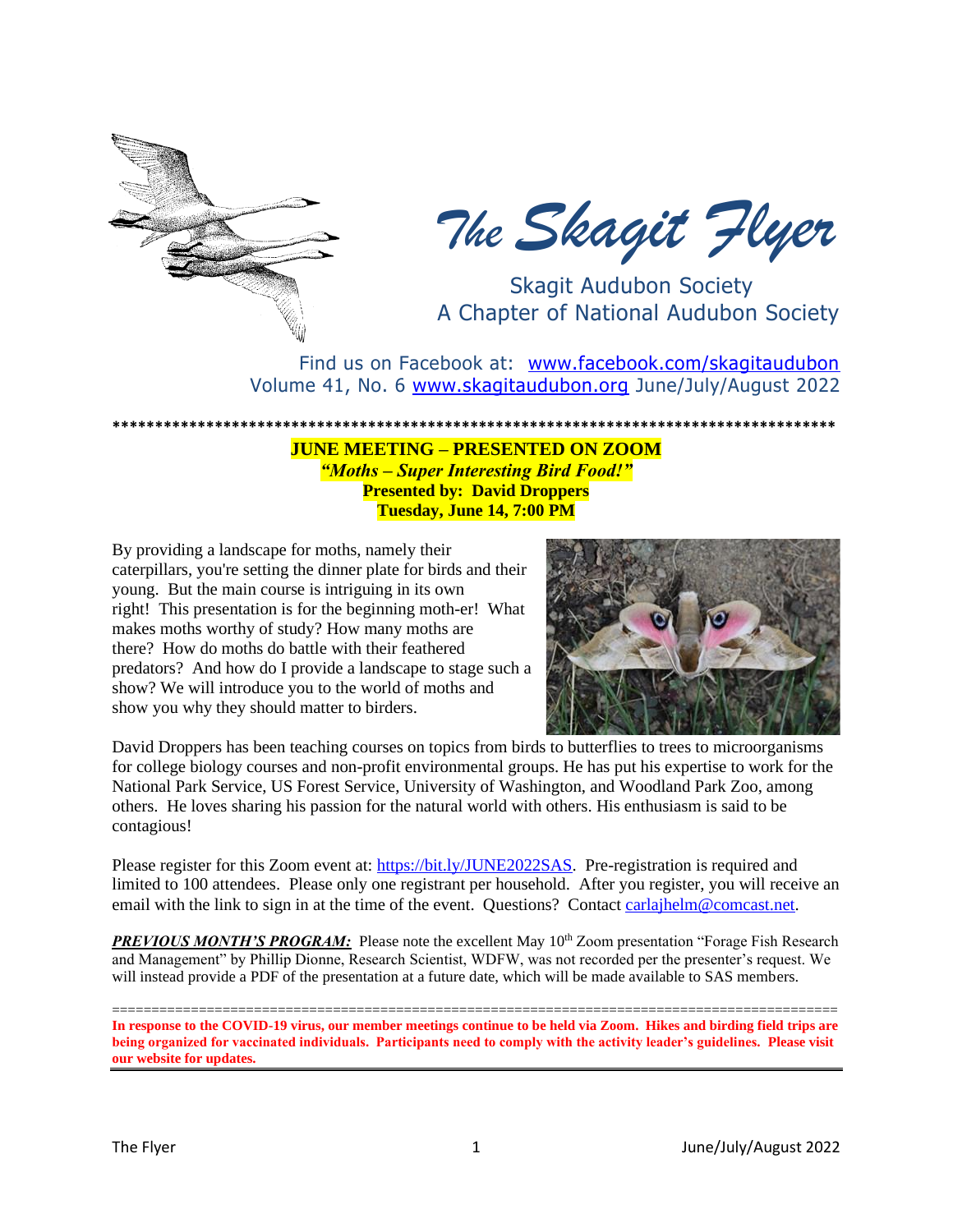

*The Skagit Flyer*

 Skagit Audubon Society A Chapter of National Audubon Society

Find us on Facebook at: [www.facebook.com/skagitaudubon](http://www.facebook.com/skagitaudubon) Volume 41, No. 6 [www.skagitaudubon.org](http://www.skagitaudubon.org/) June/July/August 2022

**\*\*\*\*\*\*\*\*\*\*\*\*\*\*\*\*\*\*\*\*\*\*\*\*\*\*\*\*\*\*\*\*\*\*\*\*\*\*\*\*\*\*\*\*\*\*\*\*\*\*\*\*\*\*\*\*\*\*\*\*\*\*\*\*\*\*\*\*\*\*\*\*\*\*\*\*\*\*\*\*\*\*\*\*\* JUNE MEETING – PRESENTED ON ZOOM** *"Moths – Super Interesting Bird Food!"* **Presented by: David Droppers Tuesday, June 14, 7:00 PM**

By providing a landscape for moths, namely their caterpillars, you're setting the dinner plate for birds and their young. But the main course is intriguing in its own right! This presentation is for the beginning moth-er! What makes moths worthy of study? How many moths are there? How do moths do battle with their feathered predators? And how do I provide a landscape to stage such a show? We will introduce you to the world of moths and show you why they should matter to birders.



David Droppers has been teaching courses on topics from birds to butterflies to trees to microorganisms for college biology courses and non-profit environmental groups. He has put his expertise to work for the National Park Service, US Forest Service, University of Washington, and Woodland Park Zoo, among others. He loves sharing his passion for the natural world with others. His enthusiasm is said to be contagious!

Please register for this Zoom event at: [https://bit.ly/JUNE2022SAS.](https://bit.ly/JUNE2022SAS) Pre-registration is required and limited to 100 attendees. Please only one registrant per household. After you register, you will receive an email with the link to sign in at the time of the event. Questions? Contact [carlajhelm@comcast.net.](mailto:carlajhelm@comcast.net)

**PREVIOUS MONTH'S PROGRAM:** Please note the excellent May 10<sup>th</sup> Zoom presentation "Forage Fish Research" and Management" by Phillip Dionne, Research Scientist, WDFW, was not recorded per the presenter's request. We will instead provide a PDF of the presentation at a future date, which will be made available to SAS members.

============================================================================================ **In response to the COVID-19 virus, our member meetings continue to be held via Zoom. Hikes and birding field trips are being organized for vaccinated individuals. Participants need to comply with the activity leader's guidelines. Please visit our website for updates.**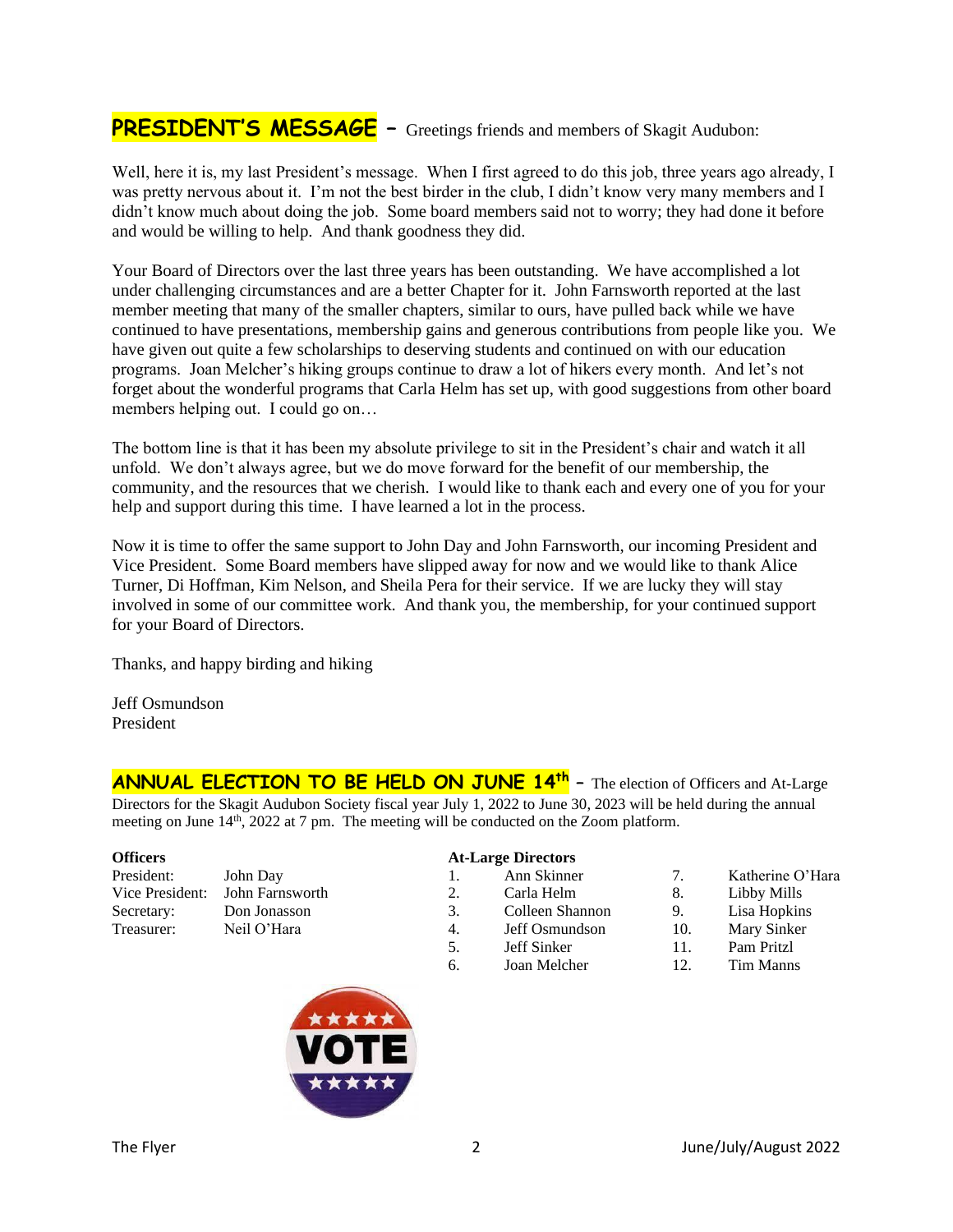# **PRESIDENT'S MESSAGE** – Greetings friends and members of Skagit Audubon:

Well, here it is, my last President's message. When I first agreed to do this job, three years ago already, I was pretty nervous about it. I'm not the best birder in the club, I didn't know very many members and I didn't know much about doing the job. Some board members said not to worry; they had done it before and would be willing to help. And thank goodness they did.

Your Board of Directors over the last three years has been outstanding. We have accomplished a lot under challenging circumstances and are a better Chapter for it. John Farnsworth reported at the last member meeting that many of the smaller chapters, similar to ours, have pulled back while we have continued to have presentations, membership gains and generous contributions from people like you. We have given out quite a few scholarships to deserving students and continued on with our education programs. Joan Melcher's hiking groups continue to draw a lot of hikers every month. And let's not forget about the wonderful programs that Carla Helm has set up, with good suggestions from other board members helping out. I could go on…

The bottom line is that it has been my absolute privilege to sit in the President's chair and watch it all unfold. We don't always agree, but we do move forward for the benefit of our membership, the community, and the resources that we cherish. I would like to thank each and every one of you for your help and support during this time. I have learned a lot in the process.

Now it is time to offer the same support to John Day and John Farnsworth, our incoming President and Vice President. Some Board members have slipped away for now and we would like to thank Alice Turner, Di Hoffman, Kim Nelson, and Sheila Pera for their service. If we are lucky they will stay involved in some of our committee work. And thank you, the membership, for your continued support for your Board of Directors.

Thanks, and happy birding and hiking

Jeff Osmundson President

**ANNUAL ELECTION TO BE HELD ON JUNE 14<sup>th</sup> -** The election of Officers and At-Large Directors for the Skagit Audubon Society fiscal year July 1, 2022 to June 30, 2023 will be held during the annual meeting on June 14<sup>th</sup>, 2022 at 7 pm. The meeting will be conducted on the Zoom platform.

| President: | John Day                        |               | Ann Skinner     |     | Katherine C                       |
|------------|---------------------------------|---------------|-----------------|-----|-----------------------------------|
|            | Vice President: John Farnsworth | $\mathcal{D}$ | Carla Helm      | 8.  | Libby Mills                       |
| Secretary: | Don Jonasson                    | 3.            | Colleen Shannon | 9.  | Lisa Hopkir                       |
| Treasurer: | Neil O'Hara                     | 4             | Jeff Osmundson  | 10. | Mary Sinke                        |
|            |                                 |               | $Left$ $C_{in}$ |     | $D_{\text{max}}$ $D_{\text{min}}$ |



# **At-Large Directors**

- 1. Ann Skinner 7. Katherine O'Hara n 3. Colleen Shannon 9. Lisa Hopkins 4. Jeff Osmundson 10. Mary Sinker 5. Jeff Sinker 11. Pam Pritzl 6. Joan Melcher 12. Tim Manns
	-
	-
	-
	-
	-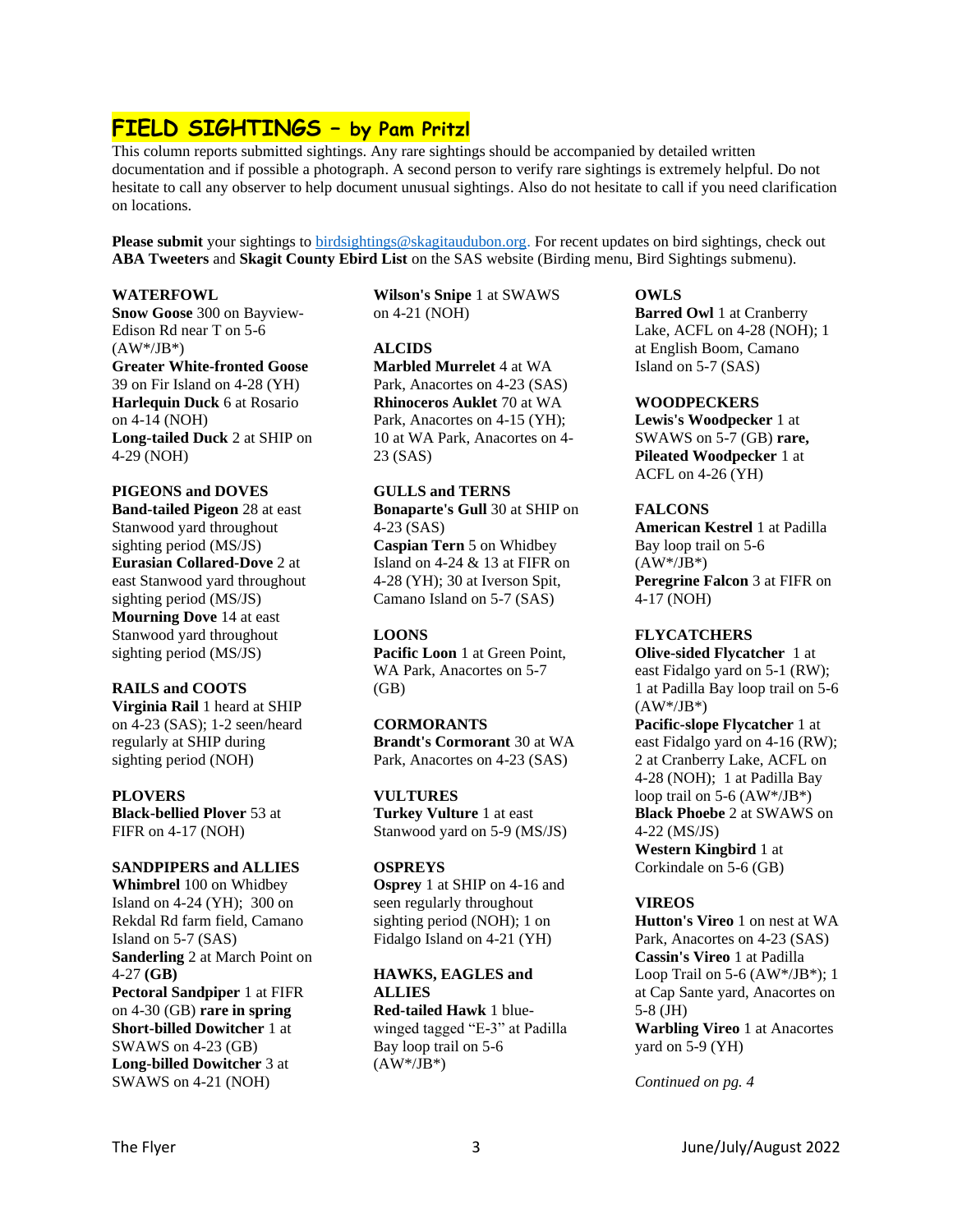# **FIELD SIGHTINGS – by Pam Pritzl**

This column reports submitted sightings. Any rare sightings should be accompanied by detailed written documentation and if possible a photograph. A second person to verify rare sightings is extremely helpful. Do not hesitate to call any observer to help document unusual sightings. Also do not hesitate to call if you need clarification on locations.

**Please submit** your sightings to [birdsightings@skagitaudubon.org.](mailto:birdsightings@skagitaudubon.org) For recent updates on bird sightings, check out **ABA Tweeters** and **Skagit County Ebird List** on the SAS website (Birding menu, Bird Sightings submenu).

# **WATERFOWL**

**Snow Goose** 300 on Bayview-Edison Rd near T on 5-6  $(AW^*/JB^*)$ **Greater White-fronted Goose** 39 on Fir Island on 4-28 (YH) **Harlequin Duck** 6 at Rosario on 4-14 (NOH) **Long-tailed Duck** 2 at SHIP on 4-29 (NOH)

# **PIGEONS and DOVES**

**Band-tailed Pigeon** 28 at east Stanwood yard throughout sighting period (MS/JS) **Eurasian Collared-Dove** 2 at east Stanwood yard throughout sighting period (MS/JS) **Mourning Dove** 14 at east Stanwood yard throughout sighting period (MS/JS)

# **RAILS and COOTS**

**Virginia Rail** 1 heard at SHIP on 4-23 (SAS); 1-2 seen/heard regularly at SHIP during sighting period (NOH)

**PLOVERS Black-bellied Plover** 53 at FIFR on 4-17 (NOH)

# **SANDPIPERS and ALLIES**

**Whimbrel** 100 on Whidbey Island on 4-24 (YH); 300 on Rekdal Rd farm field, Camano Island on 5-7 (SAS) **Sanderling** 2 at March Point on 4-27 **(GB) Pectoral Sandpiper** 1 at FIFR on 4-30 (GB) **rare in spring Short-billed Dowitcher** 1 at SWAWS on 4-23 (GB) **Long-billed Dowitcher** 3 at SWAWS on 4-21 (NOH)

**Wilson's Snipe** 1 at SWAWS on 4-21 (NOH)

# **ALCIDS**

**Marbled Murrelet** 4 at WA Park, Anacortes on 4-23 (SAS) **Rhinoceros Auklet** 70 at WA Park, Anacortes on 4-15 (YH); 10 at WA Park, Anacortes on 4- 23 (SAS)

# **GULLS and TERNS**

**Bonaparte's Gull** 30 at SHIP on 4-23 (SAS) **Caspian Tern** 5 on Whidbey Island on 4-24 & 13 at FIFR on 4-28 (YH); 30 at Iverson Spit, Camano Island on 5-7 (SAS)

# **LOONS**

**Pacific Loon** 1 at Green Point, WA Park, Anacortes on 5-7  $(GB)$ 

**CORMORANTS Brandt's Cormorant** 30 at WA Park, Anacortes on 4-23 (SAS)

#### **VULTURES**

**Turkey Vulture** 1 at east Stanwood yard on 5-9 (MS/JS)

#### **OSPREYS**

**Osprey** 1 at SHIP on 4-16 and seen regularly throughout sighting period (NOH); 1 on Fidalgo Island on 4-21 (YH)

# **HAWKS, EAGLES and ALLIES**

**Red-tailed Hawk** 1 bluewinged tagged "E-3" at Padilla Bay loop trail on 5-6  $(AW^*/JB^*)$ 

# **OWLS**

**Barred Owl** 1 at Cranberry Lake, ACFL on 4-28 (NOH); 1 at English Boom, Camano Island on 5-7 (SAS)

#### **WOODPECKERS**

**Lewis's Woodpecker** 1 at SWAWS on 5-7 (GB) **rare, Pileated Woodpecker** 1 at ACFL on 4-26 (YH)

# **FALCONS**

**American Kestrel** 1 at Padilla Bay loop trail on 5-6  $(AW^*/JB^*)$ **Peregrine Falcon** 3 at FIFR on 4-17 (NOH)

#### **FLYCATCHERS**

**Olive-sided Flycatcher** 1 at east Fidalgo yard on 5-1 (RW); 1 at Padilla Bay loop trail on 5-6  $(AW^*/JB^*)$ **Pacific-slope Flycatcher** 1 at

east Fidalgo yard on 4-16 (RW); 2 at Cranberry Lake, ACFL on 4-28 (NOH); 1 at Padilla Bay loop trail on  $5-6$  (AW\*/JB\*) **Black Phoebe** 2 at SWAWS on 4-22 (MS/JS)

**Western Kingbird** 1 at Corkindale on 5-6 (GB)

# **VIREOS**

**Hutton's Vireo** 1 on nest at WA Park, Anacortes on 4-23 (SAS) **Cassin's Vireo** 1 at Padilla Loop Trail on  $5-6$  (AW\*/JB\*); 1 at Cap Sante yard, Anacortes on 5-8 (JH) **Warbling Vireo** 1 at Anacortes yard on 5-9 (YH)

*Continued on pg. 4*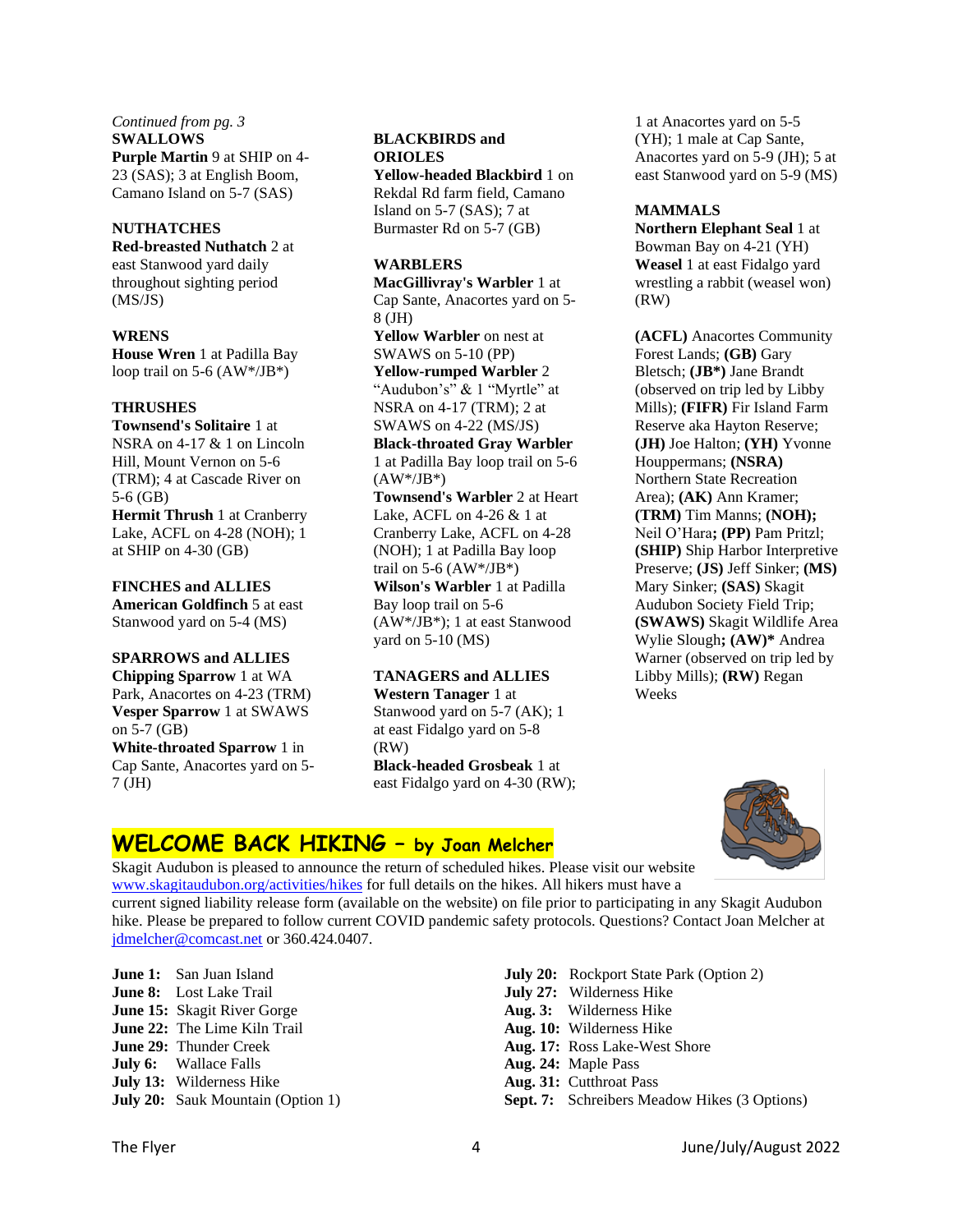*Continued from pg. 3* **SWALLOWS Purple Martin** 9 at SHIP on 4- 23 (SAS); 3 at English Boom, Camano Island on 5-7 (SAS)

#### **NUTHATCHES**

**Red-breasted Nuthatch** 2 at east Stanwood yard daily throughout sighting period (MS/JS)

# **WRENS**

**House Wren** 1 at Padilla Bay loop trail on  $5-6$  (AW\*/JB\*)

#### **THRUSHES**

**Townsend's Solitaire** 1 at NSRA on 4-17 & 1 on Lincoln Hill, Mount Vernon on 5-6 (TRM); 4 at Cascade River on 5-6 (GB) **Hermit Thrush** 1 at Cranberry Lake, ACFL on 4-28 (NOH); 1 at SHIP on 4-30 (GB)

**FINCHES and ALLIES American Goldfinch** 5 at east Stanwood yard on 5-4 (MS)

#### **SPARROWS and ALLIES**

**Chipping Sparrow** 1 at WA Park, Anacortes on 4-23 (TRM) **Vesper Sparrow** 1 at SWAWS on 5-7 (GB) **White-throated Sparrow** 1 in Cap Sante, Anacortes yard on 5- 7 (JH)

# **BLACKBIRDS and ORIOLES**

**Yellow-headed Blackbird** 1 on Rekdal Rd farm field, Camano Island on 5-7 (SAS); 7 at Burmaster Rd on 5-7 (GB)

# **WARBLERS**

**MacGillivray's Warbler** 1 at Cap Sante, Anacortes yard on 5- 8 (JH) **Yellow Warbler** on nest at SWAWS on 5-10 (PP)

**Yellow-rumped Warbler** 2 "Audubon's" & 1 "Myrtle" at NSRA on 4-17 (TRM); 2 at SWAWS on 4-22 (MS/JS)

**Black-throated Gray Warbler**  1 at Padilla Bay loop trail on 5-6  $(AW^*/JB^*)$ 

**Townsend's Warbler** 2 at Heart Lake, ACFL on 4-26 & 1 at Cranberry Lake, ACFL on 4-28 (NOH); 1 at Padilla Bay loop trail on  $5-6$  (AW\*/JB\*) **Wilson's Warbler** 1 at Padilla Bay loop trail on 5-6 (AW\*/JB\*); 1 at east Stanwood yard on 5-10 (MS)

# **TANAGERS and ALLIES**

**Western Tanager** 1 at Stanwood yard on 5-7 (AK); 1 at east Fidalgo yard on 5-8 (RW) **Black-headed Grosbeak** 1 at east Fidalgo yard on 4-30 (RW); 1 at Anacortes yard on 5-5 (YH); 1 male at Cap Sante, Anacortes yard on 5-9 (JH); 5 at east Stanwood yard on 5-9 (MS)

#### **MAMMALS**

**Northern Elephant Seal** 1 at Bowman Bay on 4-21 (YH) **Weasel** 1 at east Fidalgo yard wrestling a rabbit (weasel won) (RW)

**(ACFL)** Anacortes Community Forest Lands; **(GB)** Gary Bletsch; **(JB\*)** Jane Brandt (observed on trip led by Libby Mills); **(FIFR)** Fir Island Farm Reserve aka Hayton Reserve; **(JH)** Joe Halton; **(YH)** Yvonne Houppermans; **(NSRA)** Northern State Recreation Area); **(AK)** Ann Kramer; **(TRM)** Tim Manns; **(NOH);**  Neil O'Hara**; (PP)** Pam Pritzl; **(SHIP)** Ship Harbor Interpretive Preserve; **(JS)** Jeff Sinker; **(MS)** Mary Sinker; **(SAS)** Skagit Audubon Society Field Trip; **(SWAWS)** Skagit Wildlife Area Wylie Slough**; (AW)\*** Andrea Warner (observed on trip led by Libby Mills); **(RW)** Regan Weeks



# **WELCOME BACK HIKING – by Joan Melcher**

Skagit Audubon is pleased to announce the return of scheduled hikes. Please visit our website [www.skagitaudubon.org/activities/hi](http://www.skagitaudubon.org/activities/hiking-info)kes for full details on the hikes. All hikers must have a current signed liability release form (available on the website) on file prior to participating in any Skagit Audubon hike. Please be prepared to follow current COVID pandemic safety protocols. Questions? Contact Joan Melcher at [jdmelcher@comcast.net](mailto:jdmelcher@comcast.net) or 360.424.0407.

**June 1:** San Juan Island **June 8:** Lost Lake Trail **June 15:** Skagit River Gorge **June 22:** The Lime Kiln Trail **June 29:** Thunder Creek **July 6:** Wallace Falls **July 13:** Wilderness Hike **July 20:** Sauk Mountain (Option 1)

**July 20:** Rockport State Park (Option 2) **July 27:** Wilderness Hike **Aug. 3:** Wilderness Hike **Aug. 10:** Wilderness Hike **Aug. 17:** Ross Lake-West Shore **Aug. 24:** Maple Pass **Aug. 31:** Cutthroat Pass **Sept. 7:** Schreibers Meadow Hikes (3 Options)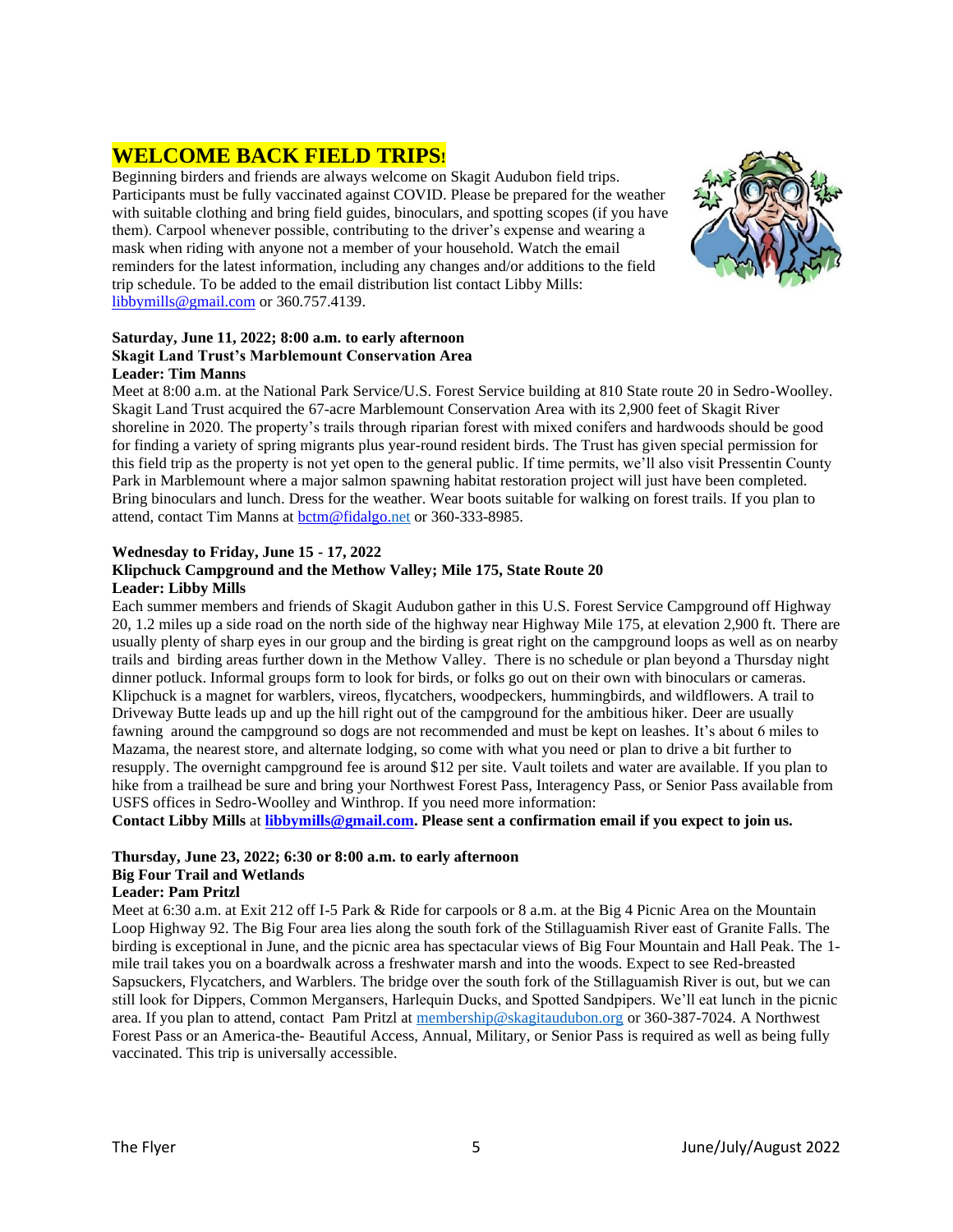# **WELCOME BACK FIELD TRIPS!**

Beginning birders and friends are always welcome on Skagit Audubon field trips. Participants must be fully vaccinated against COVID. Please be prepared for the weather with suitable clothing and bring field guides, binoculars, and spotting scopes (if you have them). Carpool whenever possible, contributing to the driver's expense and wearing a mask when riding with anyone not a member of your household. Watch the email reminders for the latest information, including any changes and/or additions to the field trip schedule. To be added to the email distribution list contact Libby Mills: [libbymills@gmail.com](mailto:libbymills@gmail.com) or 360.757.4139.



#### **Saturday, June 11, 2022; 8:00 a.m. to early afternoon Skagit Land Trust's Marblemount Conservation Area Leader: Tim Manns**

Meet at 8:00 a.m. at the National Park Service/U.S. Forest Service building at 810 State route 20 in Sedro-Woolley. Skagit Land Trust acquired the 67-acre Marblemount Conservation Area with its 2,900 feet of Skagit River shoreline in 2020. The property's trails through riparian forest with mixed conifers and hardwoods should be good for finding a variety of spring migrants plus year-round resident birds. The Trust has given special permission for this field trip as the property is not yet open to the general public. If time permits, we'll also visit Pressentin County Park in Marblemount where a major salmon spawning habitat restoration project will just have been completed. Bring binoculars and lunch. Dress for the weather. Wear boots suitable for walking on forest trails. If you plan to attend, contact Tim Manns at [bctm@fidalgo.n](mailto:bctm@fidalgo.)et or 360-333-8985.

# **Wednesday to Friday, June 15 - 17, 2022**

### **Klipchuck Campground and the Methow Valley; Mile 175, State Route 20 Leader: Libby Mills**

Each summer members and friends of Skagit Audubon gather in this U.S. Forest Service Campground off Highway 20, 1.2 miles up a side road on the north side of the highway near Highway Mile 175, at elevation 2,900 ft. There are usually plenty of sharp eyes in our group and the birding is great right on the campground loops as well as on nearby trails and birding areas further down in the Methow Valley. There is no schedule or plan beyond a Thursday night dinner potluck. Informal groups form to look for birds, or folks go out on their own with binoculars or cameras. Klipchuck is a magnet for warblers, vireos, flycatchers, woodpeckers, hummingbirds, and wildflowers. A trail to Driveway Butte leads up and up the hill right out of the campground for the ambitious hiker. Deer are usually fawning around the campground so dogs are not recommended and must be kept on leashes. It's about 6 miles to Mazama, the nearest store, and alternate lodging, so come with what you need or plan to drive a bit further to resupply. The overnight campground fee is around \$12 per site. Vault toilets and water are available. If you plan to hike from a trailhead be sure and bring your Northwest Forest Pass, Interagency Pass, or Senior Pass available from USFS offices in Sedro-Woolley and Winthrop. If you need more information:

**Contact Libby Mills** at **[libbymills@gmail.com.](mailto:libbymills@gmail.com) Please sent a confirmation email if you expect to join us.**

#### **Thursday, June 23, 2022; 6:30 or 8:00 a.m. to early afternoon Big Four Trail and Wetlands Leader: Pam Pritzl**

Meet at 6:30 a.m. at Exit 212 off I-5 Park & Ride for carpools or 8 a.m. at the Big 4 Picnic Area on the Mountain Loop Highway 92. The Big Four area lies along the south fork of the Stillaguamish River east of Granite Falls. The birding is exceptional in June, and the picnic area has spectacular views of Big Four Mountain and Hall Peak. The 1 mile trail takes you on a boardwalk across a freshwater marsh and into the woods. Expect to see Red-breasted Sapsuckers, Flycatchers, and Warblers. The bridge over the south fork of the Stillaguamish River is out, but we can still look for Dippers, Common Mergansers, Harlequin Ducks, and Spotted Sandpipers. We'll eat lunch in the picnic area. If you plan to attend, contact Pam Pritzl at [membership@skagitaudubon.org](mailto:membership@skagitaudubon.org) or 360-387-7024. A Northwest Forest Pass or an America-the- Beautiful Access, Annual, Military, or Senior Pass is required as well as being fully vaccinated. This trip is universally accessible.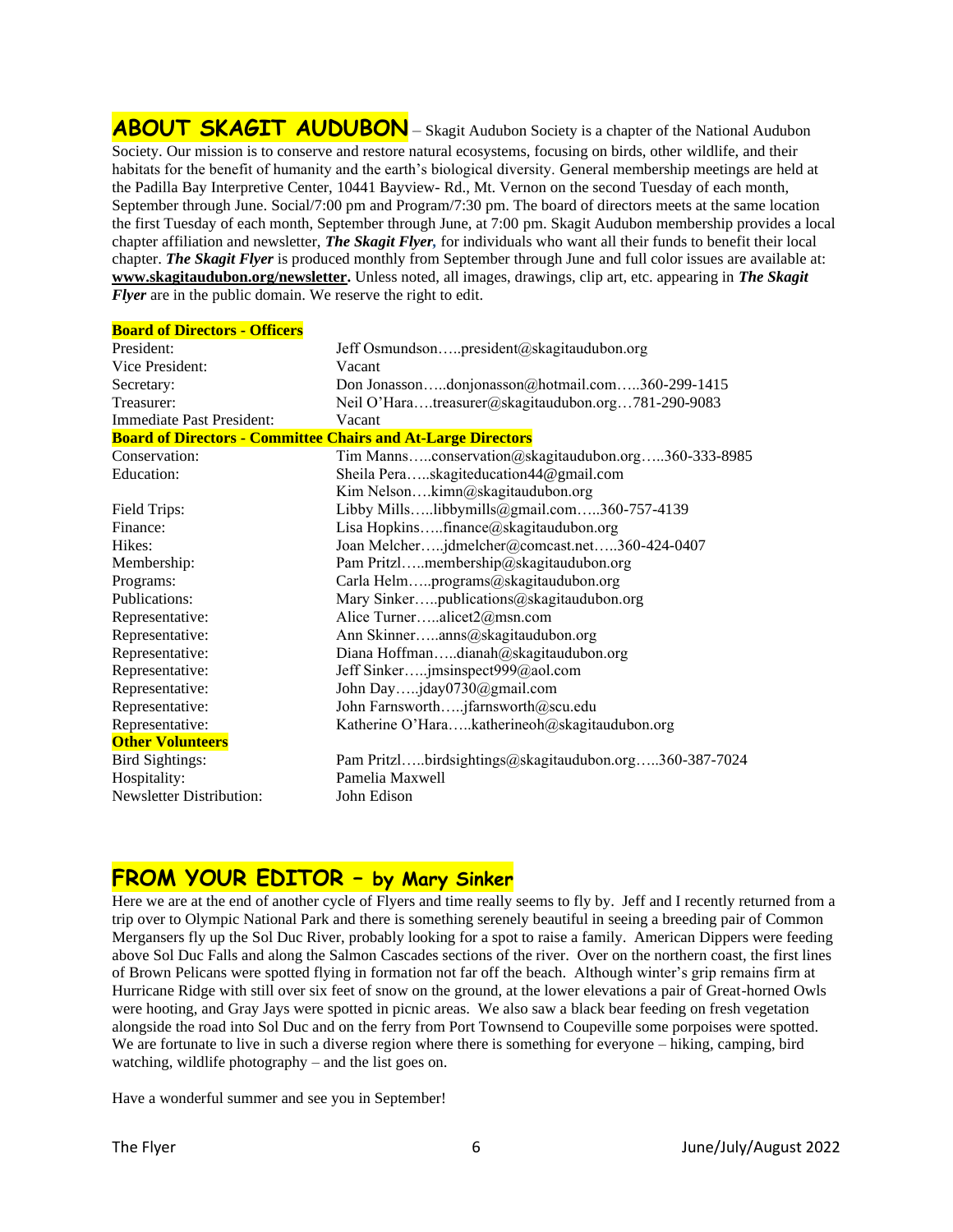**ABOUT SKAGIT AUDUBON** – Skagit Audubon Society is a chapter of the National Audubon Society. Our mission is to conserve and restore natural ecosystems, focusing on birds, other wildlife, and their habitats for the benefit of humanity and the earth's biological diversity. General membership meetings are held at the Padilla Bay Interpretive Center, 10441 Bayview- Rd., Mt. Vernon on the second Tuesday of each month, September through June. Social/7:00 pm and Program/7:30 pm. The board of directors meets at the same location the first Tuesday of each month, September through June, at 7:00 pm. Skagit Audubon membership provides a local chapter affiliation and newsletter, *The Skagit Flyer,* for individuals who want all their funds to benefit their local chapter. *The Skagit Flyer* is produced monthly from September through June and full color issues are available at: **[www.skagitaudubon.org/newsletter.](http://www.skagitaudubon.org/newsletter)** Unless noted, all images, drawings, clip art, etc. appearing in *The Skagit Flyer* are in the public domain. We reserve the right to edit.

#### **Board of Directors - Officers**

| President:                                                          | Jeff Osmundsonpresident@skagitaudubon.org             |  |  |
|---------------------------------------------------------------------|-------------------------------------------------------|--|--|
| Vice President:                                                     | Vacant                                                |  |  |
| Secretary:                                                          | Don Jonassondonjonasson@hotmail.com360-299-1415       |  |  |
| Treasurer:                                                          | Neil O'Haratreasurer@skagitaudubon.org781-290-9083    |  |  |
| Immediate Past President:                                           | Vacant                                                |  |  |
| <b>Board of Directors - Committee Chairs and At-Large Directors</b> |                                                       |  |  |
| Conservation:                                                       | Tim Mannsconservation@skagitaudubon.org360-333-8985   |  |  |
| Education:                                                          | Sheila Peraskagiteducation44@gmail.com                |  |  |
|                                                                     | Kim Nelsonkimn@skagitaudubon.org                      |  |  |
| Field Trips:                                                        | Libby Millslibbymills@gmail.com360-757-4139           |  |  |
| Finance:                                                            | Lisa Hopkinsfinance@skagitaudubon.org                 |  |  |
| Hikes:                                                              | Joan Melcherjdmelcher@comcast.net360-424-0407         |  |  |
| Membership:                                                         | Pam Pritzlmembership@skagitaudubon.org                |  |  |
| Programs:                                                           | Carla Helmprograms@skagitaudubon.org                  |  |  |
| Publications:                                                       | Mary Sinkerpublications@skagitaudubon.org             |  |  |
| Representative:                                                     | Alice Turneralicet2@msn.com                           |  |  |
| Representative:                                                     | Ann Skinneranns@skagitaudubon.org                     |  |  |
| Representative:                                                     | Diana Hoffmandianah@skagitaudubon.org                 |  |  |
| Representative:                                                     | Jeff Sinkerjmsinspect999@aol.com                      |  |  |
| Representative:                                                     | John Dayjday0730@gmail.com                            |  |  |
| Representative:                                                     | John Farnsworthjfarnsworth@scu.edu                    |  |  |
| Representative:                                                     | Katherine O'Harakatherineoh@skagitaudubon.org         |  |  |
| <b>Other Volunteers</b>                                             |                                                       |  |  |
| <b>Bird Sightings:</b>                                              | Pam Pritzlbirdsightings@skagitaudubon.org360-387-7024 |  |  |
| Hospitality:                                                        | Pamelia Maxwell                                       |  |  |
| Newsletter Distribution:                                            | John Edison                                           |  |  |

# **FROM YOUR EDITOR – by Mary Sinker**

Here we are at the end of another cycle of Flyers and time really seems to fly by. Jeff and I recently returned from a trip over to Olympic National Park and there is something serenely beautiful in seeing a breeding pair of Common Mergansers fly up the Sol Duc River, probably looking for a spot to raise a family. American Dippers were feeding above Sol Duc Falls and along the Salmon Cascades sections of the river. Over on the northern coast, the first lines of Brown Pelicans were spotted flying in formation not far off the beach. Although winter's grip remains firm at Hurricane Ridge with still over six feet of snow on the ground, at the lower elevations a pair of Great-horned Owls were hooting, and Gray Jays were spotted in picnic areas. We also saw a black bear feeding on fresh vegetation alongside the road into Sol Duc and on the ferry from Port Townsend to Coupeville some porpoises were spotted. We are fortunate to live in such a diverse region where there is something for everyone – hiking, camping, bird watching, wildlife photography – and the list goes on.

Have a wonderful summer and see you in September!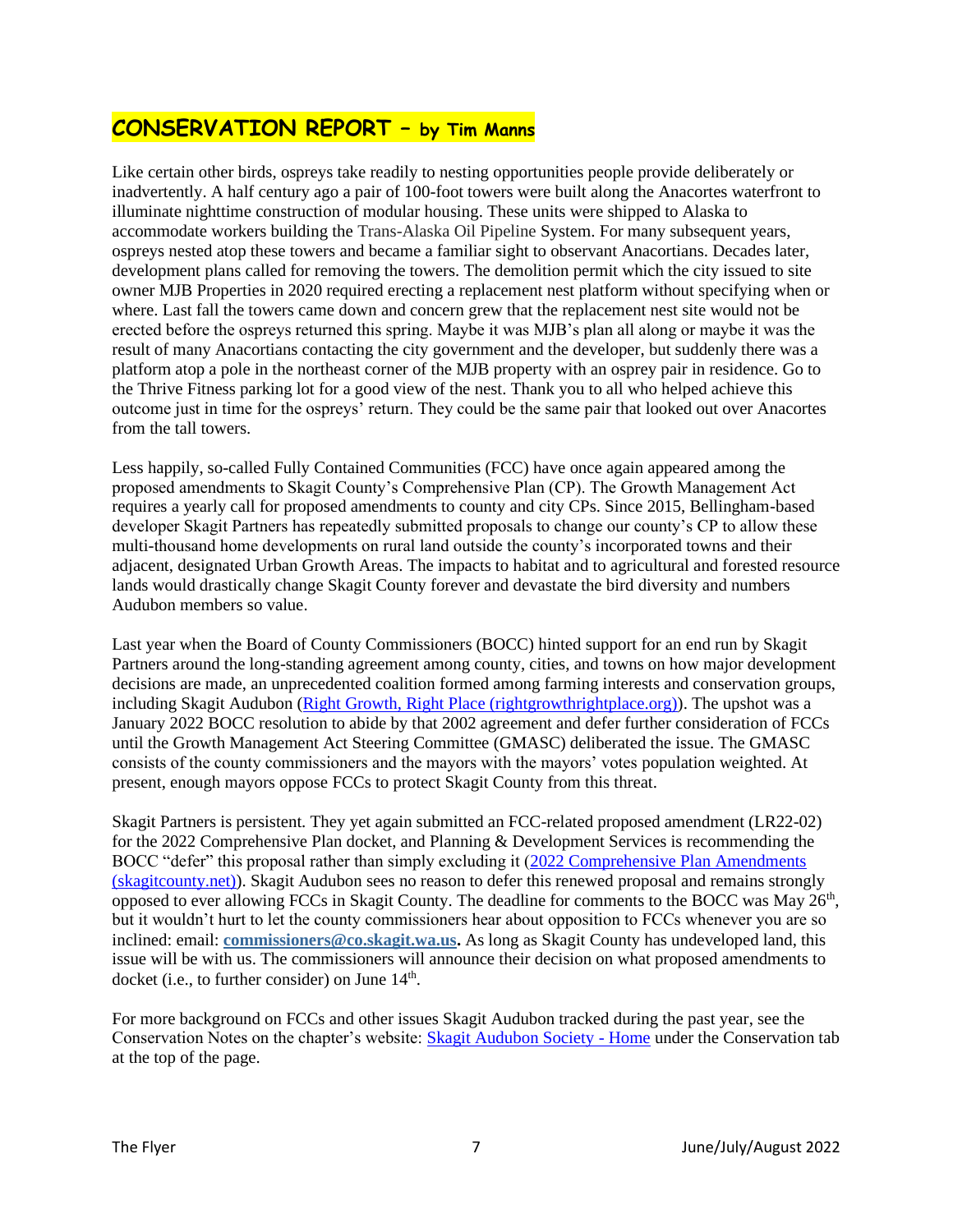# **CONSERVATION REPORT – by Tim Manns**

Like certain other birds, ospreys take readily to nesting opportunities people provide deliberately or inadvertently. A half century ago a pair of 100-foot towers were built along the Anacortes waterfront to illuminate nighttime construction of modular housing. These units were shipped to Alaska to accommodate workers building the Trans-Alaska Oil Pipeline System. For many subsequent years, ospreys nested atop these towers and became a familiar sight to observant Anacortians. Decades later, development plans called for removing the towers. The demolition permit which the city issued to site owner MJB Properties in 2020 required erecting a replacement nest platform without specifying when or where. Last fall the towers came down and concern grew that the replacement nest site would not be erected before the ospreys returned this spring. Maybe it was MJB's plan all along or maybe it was the result of many Anacortians contacting the city government and the developer, but suddenly there was a platform atop a pole in the northeast corner of the MJB property with an osprey pair in residence. Go to the Thrive Fitness parking lot for a good view of the nest. Thank you to all who helped achieve this outcome just in time for the ospreys' return. They could be the same pair that looked out over Anacortes from the tall towers.

Less happily, so-called Fully Contained Communities (FCC) have once again appeared among the proposed amendments to Skagit County's Comprehensive Plan (CP). The Growth Management Act requires a yearly call for proposed amendments to county and city CPs. Since 2015, Bellingham-based developer Skagit Partners has repeatedly submitted proposals to change our county's CP to allow these multi-thousand home developments on rural land outside the county's incorporated towns and their adjacent, designated Urban Growth Areas. The impacts to habitat and to agricultural and forested resource lands would drastically change Skagit County forever and devastate the bird diversity and numbers Audubon members so value.

Last year when the Board of County Commissioners (BOCC) hinted support for an end run by Skagit Partners around the long-standing agreement among county, cities, and towns on how major development decisions are made, an unprecedented coalition formed among farming interests and conservation groups, including Skagit Audubon [\(Right Growth, Right Place \(rightgrowthrightplace.org\)\)](https://www.rightgrowthrightplace.org/). The upshot was a January 2022 BOCC resolution to abide by that 2002 agreement and defer further consideration of FCCs until the Growth Management Act Steering Committee (GMASC) deliberated the issue. The GMASC consists of the county commissioners and the mayors with the mayors' votes population weighted. At present, enough mayors oppose FCCs to protect Skagit County from this threat.

Skagit Partners is persistent. They yet again submitted an FCC-related proposed amendment (LR22-02) for the 2022 Comprehensive Plan docket, and Planning & Development Services is recommending the BOCC "defer" this proposal rather than simply excluding it [\(2022 Comprehensive Plan Amendments](https://www.skagitcounty.net/Departments/PlanningAndPermit/2022CPA.htm)  [\(skagitcounty.net\)\)](https://www.skagitcounty.net/Departments/PlanningAndPermit/2022CPA.htm). Skagit Audubon sees no reason to defer this renewed proposal and remains strongly opposed to ever allowing FCCs in Skagit County. The deadline for comments to the BOCC was May 26<sup>th</sup>, but it wouldn't hurt to let the county commissioners hear about opposition to FCCs whenever you are so inclined: email: **[commissioners@co.skagit.wa.us.](mailto:commissioners@co.skagit.wa.us)** As long as Skagit County has undeveloped land, this issue will be with us. The commissioners will announce their decision on what proposed amendments to docket (i.e., to further consider) on June  $14<sup>th</sup>$ .

For more background on FCCs and other issues Skagit Audubon tracked during the past year, see the Conservation Notes on the chapter's website: [Skagit Audubon Society -](https://www.skagitaudubon.org/) Home under the Conservation tab at the top of the page.